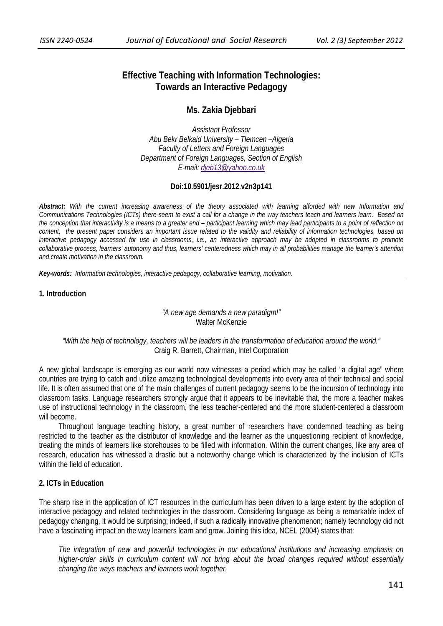# **Effective Teaching with Information Technologies: Towards an Interactive Pedagogy**

## **Ms. Zakia Djebbari**

*Assistant Professor Abu Bekr Belkaid University – Tlemcen –Algeria Faculty of Letters and Foreign Languages Department of Foreign Languages, Section of English E-mail: djeb13@yahoo.co.uk*

## **Doi:10.5901/jesr.2012.v2n3p141**

*Abstract: With the current increasing awareness of the theory associated with learning afforded with new Information and Communications Technologies (ICTs) there seem to exist a call for a change in the way teachers teach and learners learn. Based on the conception that interactivity is a means to a greater end – participant learning which may lead participants to a point of reflection on content, the present paper considers an important issue related to the validity and reliability of information technologies, based on interactive pedagogy accessed for use in classrooms, i.e., an interactive approach may be adopted in classrooms to promote collaborative process, learners' autonomy and thus, learners' centeredness which may in all probabilities manage the learner's attention and create motivation in the classroom.* 

*Key-words: Information technologies, interactive pedagogy, collaborative learning, motivation.*

## **1. Introduction**

#### *"A new age demands a new paradigm!"*  Walter McKenzie

#### *"With the help of technology, teachers will be leaders in the transformation of education around the world."*  Craig R. Barrett, Chairman, Intel Corporation

A new global landscape is emerging as our world now witnesses a period which may be called "a digital age" where countries are trying to catch and utilize amazing technological developments into every area of their technical and social life. It is often assumed that one of the main challenges of current pedagogy seems to be the incursion of technology into classroom tasks. Language researchers strongly argue that it appears to be inevitable that, the more a teacher makes use of instructional technology in the classroom, the less teacher-centered and the more student-centered a classroom will become.

Throughout language teaching history, a great number of researchers have condemned teaching as being restricted to the teacher as the distributor of knowledge and the learner as the unquestioning recipient of knowledge, treating the minds of learners like storehouses to be filled with information. Within the current changes, like any area of research, education has witnessed a drastic but a noteworthy change which is characterized by the inclusion of ICTs within the field of education.

## **2. ICTs in Education**

The sharp rise in the application of ICT resources in the curriculum has been driven to a large extent by the adoption of interactive pedagogy and related technologies in the classroom. Considering language as being a remarkable index of pedagogy changing, it would be surprising; indeed, if such a radically innovative phenomenon; namely technology did not have a fascinating impact on the way learners learn and grow. Joining this idea, NCEL (2004) states that:

*The integration of new and powerful technologies in our educational institutions and increasing emphasis on higher-order skills in curriculum content will not bring about the broad changes required without essentially changing the ways teachers and learners work together.*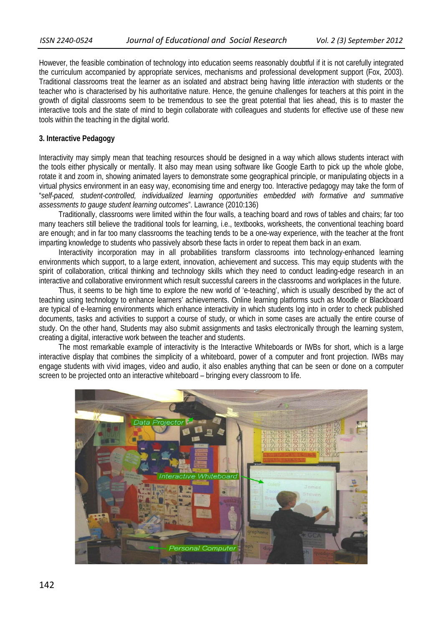However, the feasible combination of technology into education seems reasonably doubtful if it is not carefully integrated the curriculum accompanied by appropriate services, mechanisms and professional development support (Fox, 2003). Traditional classrooms treat the learner as an isolated and abstract being having little *interaction* with students or the teacher who is characterised by his authoritative nature. Hence, the genuine challenges for teachers at this point in the growth of digital classrooms seem to be tremendous to see the great potential that lies ahead, this is to master the interactive tools and the state of mind to begin collaborate with colleagues and students for effective use of these new tools within the teaching in the digital world.

#### **3. Interactive Pedagogy**

Interactivity may simply mean that teaching resources should be designed in a way which allows students interact with the tools either physically or mentally. It also may mean using software like Google Earth to pick up the whole globe, rotate it and zoom in, showing animated layers to demonstrate some geographical principle, or manipulating objects in a virtual physics environment in an easy way, economising time and energy too. Interactive pedagogy may take the form of "*self-paced, student-controlled, individualized learning opportunities embedded with formative and summative assessments to gauge student learning outcomes*". Lawrance (2010:136)

Traditionally, classrooms were limited within the four walls, a teaching board and rows of tables and chairs; far too many teachers still believe the traditional tools for learning, i.e., textbooks, worksheets, the conventional teaching board are enough; and in far too many classrooms the teaching tends to be a one-way experience, with the teacher at the front imparting knowledge to students who passively absorb these facts in order to repeat them back in an exam.

Interactivity incorporation may in all probabilities transform classrooms into technology-enhanced learning environments which support, to a large extent, innovation, achievement and success. This may equip students with the spirit of collaboration, critical thinking and technology skills which they need to conduct leading-edge research in an interactive and collaborative environment which result successful careers in the classrooms and workplaces in the future.

Thus, it seems to be high time to explore the new world of 'e-teaching', which is usually described by the act of teaching using technology to enhance learners' achievements. Online learning platforms such as Moodle or Blackboard are typical of e-learning environments which enhance interactivity in which students log into in order to check published documents, tasks and activities to support a course of study, or which in some cases are actually the entire course of study. On the other hand, Students may also submit assignments and tasks electronically through the learning system, creating a digital, interactive work between the teacher and students.

The most remarkable example of interactivity is the Interactive Whiteboards or IWBs for short, which is a large interactive display that combines the simplicity of a whiteboard, power of a computer and front projection. IWBs may engage students with vivid images, video and audio, it also enables anything that can be seen or done on a computer screen to be projected onto an interactive whiteboard – bringing every classroom to life.

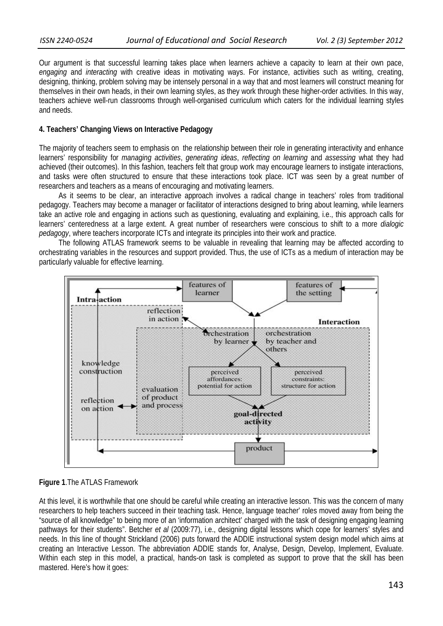Our argument is that successful learning takes place when learners achieve a capacity to learn at their own pace, *engaging* and *interacting* with creative ideas in motivating ways. For instance, activities such as writing, creating, designing, thinking, problem solving may be intensely personal in a way that and most learners will construct meaning for themselves in their own heads, in their own learning styles, as they work through these higher-order activities. In this way, teachers achieve well-run classrooms through well-organised curriculum which caters for the individual learning styles and needs.

#### **4. Teachers' Changing Views on Interactive Pedagogy**

The majority of teachers seem to emphasis on the relationship between their role in generating interactivity and enhance learners' responsibility for *managing activities*, *generating ideas*, *reflecting on learning* and *assessing* what they had achieved (their outcomes). In this fashion, teachers felt that group work may encourage learners to instigate interactions, and tasks were often structured to ensure that these interactions took place. ICT was seen by a great number of researchers and teachers as a means of encouraging and motivating learners.

As it seems to be clear, an interactive approach involves a radical change in teachers' roles from traditional pedagogy. Teachers may become a manager or facilitator of interactions designed to bring about learning, while learners take an active role and engaging in actions such as questioning, evaluating and explaining, i.e., this approach calls for learners' centeredness at a large extent. A great number of researchers were conscious to shift to a more *dialogic pedagogy*, where teachers incorporate ICTs and integrate its principles into their work and practice.

The following ATLAS framework seems to be valuable in revealing that learning may be affected according to orchestrating variables in the resources and support provided. Thus, the use of ICTs as a medium of interaction may be particularly valuable for effective learning.



## **Figure 1**.The ATLAS Framework

At this level, it is worthwhile that one should be careful while creating an interactive lesson. This was the concern of many researchers to help teachers succeed in their teaching task. Hence, language teacher' roles moved away from being the "source of all knowledge" to being more of an 'information architect' charged with the task of designing engaging learning pathways for their students". Betcher *et al* (2009:77), i.e., designing digital lessons which cope for learners' styles and needs. In this line of thought Strickland (2006) puts forward the ADDIE instructional system design model which aims at creating an Interactive Lesson. The abbreviation ADDIE stands for, Analyse, Design, Develop, Implement, Evaluate. Within each step in this model, a practical, hands-on task is completed as support to prove that the skill has been mastered. Here's how it goes: